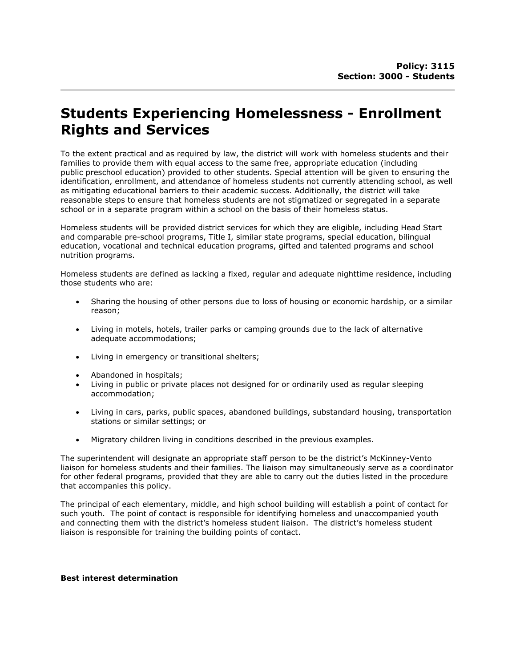# Students Experiencing Homelessness - Enrollment Rights and Services

To the extent practical and as required by law, the district will work with homeless students and their families to provide them with equal access to the same free, appropriate education (including public preschool education) provided to other students. Special attention will be given to ensuring the identification, enrollment, and attendance of homeless students not currently attending school, as well as mitigating educational barriers to their academic success. Additionally, the district will take reasonable steps to ensure that homeless students are not stigmatized or segregated in a separate school or in a separate program within a school on the basis of their homeless status.

Homeless students will be provided district services for which they are eligible, including Head Start and comparable pre-school programs, Title I, similar state programs, special education, bilingual education, vocational and technical education programs, gifted and talented programs and school nutrition programs.

Homeless students are defined as lacking a fixed, regular and adequate nighttime residence, including those students who are:

- Sharing the housing of other persons due to loss of housing or economic hardship, or a similar reason;
- Living in motels, hotels, trailer parks or camping grounds due to the lack of alternative adequate accommodations;
- Living in emergency or transitional shelters;
- Abandoned in hospitals;
- Living in public or private places not designed for or ordinarily used as regular sleeping accommodation;
- Living in cars, parks, public spaces, abandoned buildings, substandard housing, transportation stations or similar settings; or
- Migratory children living in conditions described in the previous examples.

The superintendent will designate an appropriate staff person to be the district's McKinney-Vento liaison for homeless students and their families. The liaison may simultaneously serve as a coordinator for other federal programs, provided that they are able to carry out the duties listed in the procedure that accompanies this policy.

The principal of each elementary, middle, and high school building will establish a point of contact for such youth. The point of contact is responsible for identifying homeless and unaccompanied youth and connecting them with the district's homeless student liaison. The district's homeless student liaison is responsible for training the building points of contact.

#### Best interest determination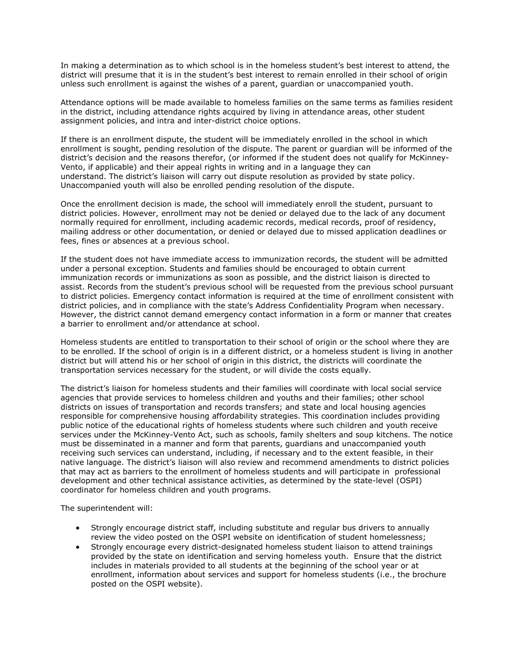In making a determination as to which school is in the homeless student's best interest to attend, the district will presume that it is in the student's best interest to remain enrolled in their school of origin unless such enrollment is against the wishes of a parent, guardian or unaccompanied youth.

Attendance options will be made available to homeless families on the same terms as families resident in the district, including attendance rights acquired by living in attendance areas, other student assignment policies, and intra and inter-district choice options.

If there is an enrollment dispute, the student will be immediately enrolled in the school in which enrollment is sought, pending resolution of the dispute. The parent or guardian will be informed of the district's decision and the reasons therefor, (or informed if the student does not qualify for McKinney-Vento, if applicable) and their appeal rights in writing and in a language they can understand. The district's liaison will carry out dispute resolution as provided by state policy. Unaccompanied youth will also be enrolled pending resolution of the dispute.

Once the enrollment decision is made, the school will immediately enroll the student, pursuant to district policies. However, enrollment may not be denied or delayed due to the lack of any document normally required for enrollment, including academic records, medical records, proof of residency, mailing address or other documentation, or denied or delayed due to missed application deadlines or fees, fines or absences at a previous school.

If the student does not have immediate access to immunization records, the student will be admitted under a personal exception. Students and families should be encouraged to obtain current immunization records or immunizations as soon as possible, and the district liaison is directed to assist. Records from the student's previous school will be requested from the previous school pursuant to district policies. Emergency contact information is required at the time of enrollment consistent with district policies, and in compliance with the state's Address Confidentiality Program when necessary. However, the district cannot demand emergency contact information in a form or manner that creates a barrier to enrollment and/or attendance at school.

Homeless students are entitled to transportation to their school of origin or the school where they are to be enrolled. If the school of origin is in a different district, or a homeless student is living in another district but will attend his or her school of origin in this district, the districts will coordinate the transportation services necessary for the student, or will divide the costs equally.

The district's liaison for homeless students and their families will coordinate with local social service agencies that provide services to homeless children and youths and their families; other school districts on issues of transportation and records transfers; and state and local housing agencies responsible for comprehensive housing affordability strategies. This coordination includes providing public notice of the educational rights of homeless students where such children and youth receive services under the McKinney-Vento Act, such as schools, family shelters and soup kitchens. The notice must be disseminated in a manner and form that parents, guardians and unaccompanied youth receiving such services can understand, including, if necessary and to the extent feasible, in their native language. The district's liaison will also review and recommend amendments to district policies that may act as barriers to the enrollment of homeless students and will participate in professional development and other technical assistance activities, as determined by the state-level (OSPI) coordinator for homeless children and youth programs.

The superintendent will:

- Strongly encourage district staff, including substitute and regular bus drivers to annually review the video posted on the OSPI website on identification of student homelessness;
- Strongly encourage every district-designated homeless student liaison to attend trainings provided by the state on identification and serving homeless youth. Ensure that the district includes in materials provided to all students at the beginning of the school year or at enrollment, information about services and support for homeless students (i.e., the brochure posted on the OSPI website).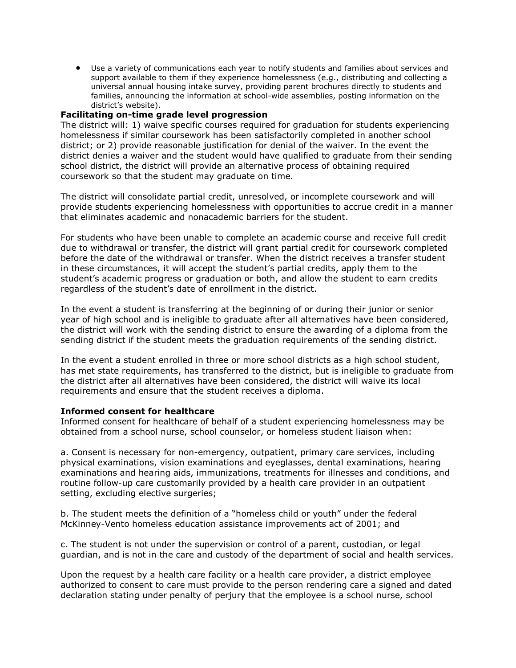Use a variety of communications each year to notify students and families about services and support available to them if they experience homelessness (e.g., distributing and collecting a universal annual housing intake survey, providing parent brochures directly to students and families, announcing the information at school-wide assemblies, posting information on the district's website).

## Facilitating on-time grade level progression

The district will: 1) waive specific courses required for graduation for students experiencing homelessness if similar coursework has been satisfactorily completed in another school district; or 2) provide reasonable justification for denial of the waiver. In the event the district denies a waiver and the student would have qualified to graduate from their sending school district, the district will provide an alternative process of obtaining required coursework so that the student may graduate on time.

The district will consolidate partial credit, unresolved, or incomplete coursework and will provide students experiencing homelessness with opportunities to accrue credit in a manner that eliminates academic and nonacademic barriers for the student.

For students who have been unable to complete an academic course and receive full credit due to withdrawal or transfer, the district will grant partial credit for coursework completed before the date of the withdrawal or transfer. When the district receives a transfer student in these circumstances, it will accept the student's partial credits, apply them to the student's academic progress or graduation or both, and allow the student to earn credits regardless of the student's date of enrollment in the district.

In the event a student is transferring at the beginning of or during their junior or senior year of high school and is ineligible to graduate after all alternatives have been considered, the district will work with the sending district to ensure the awarding of a diploma from the sending district if the student meets the graduation requirements of the sending district.

In the event a student enrolled in three or more school districts as a high school student, has met state requirements, has transferred to the district, but is ineligible to graduate from the district after all alternatives have been considered, the district will waive its local requirements and ensure that the student receives a diploma.

#### Informed consent for healthcare

Informed consent for healthcare of behalf of a student experiencing homelessness may be obtained from a school nurse, school counselor, or homeless student liaison when:

a. Consent is necessary for non-emergency, outpatient, primary care services, including physical examinations, vision examinations and eyeglasses, dental examinations, hearing examinations and hearing aids, immunizations, treatments for illnesses and conditions, and routine follow-up care customarily provided by a health care provider in an outpatient setting, excluding elective surgeries;

b. The student meets the definition of a "homeless child or youth" under the federal McKinney-Vento homeless education assistance improvements act of 2001; and

c. The student is not under the supervision or control of a parent, custodian, or legal guardian, and is not in the care and custody of the department of social and health services.

Upon the request by a health care facility or a health care provider, a district employee authorized to consent to care must provide to the person rendering care a signed and dated declaration stating under penalty of perjury that the employee is a school nurse, school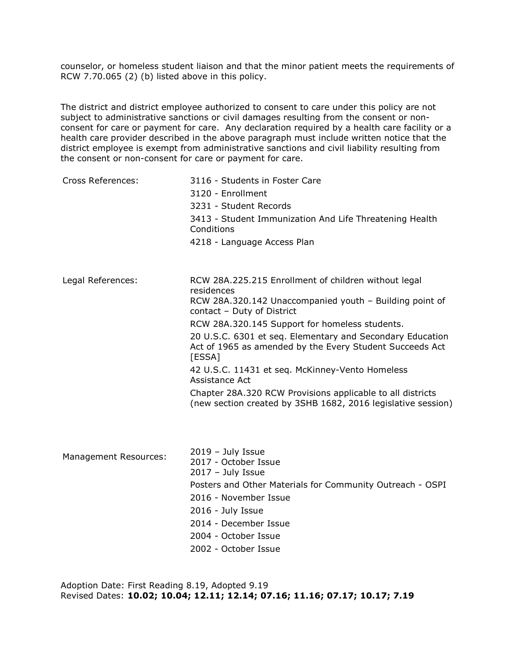counselor, or homeless student liaison and that the minor patient meets the requirements of RCW 7.70.065 (2) (b) listed above in this policy.

The district and district employee authorized to consent to care under this policy are not subject to administrative sanctions or civil damages resulting from the consent or nonconsent for care or payment for care. Any declaration required by a health care facility or a health care provider described in the above paragraph must include written notice that the district employee is exempt from administrative sanctions and civil liability resulting from the consent or non-consent for care or payment for care.

| Cross References:            | 3116 - Students in Foster Care<br>3120 - Enrollment<br>3231 - Student Records<br>3413 - Student Immunization And Life Threatening Health<br>Conditions<br>4218 - Language Access Plan                                                                                                                                                                                                                                                                                                                                                               |
|------------------------------|-----------------------------------------------------------------------------------------------------------------------------------------------------------------------------------------------------------------------------------------------------------------------------------------------------------------------------------------------------------------------------------------------------------------------------------------------------------------------------------------------------------------------------------------------------|
| Legal References:            | RCW 28A.225.215 Enrollment of children without legal<br>residences<br>RCW 28A.320.142 Unaccompanied youth - Building point of<br>contact - Duty of District<br>RCW 28A.320.145 Support for homeless students.<br>20 U.S.C. 6301 et seq. Elementary and Secondary Education<br>Act of 1965 as amended by the Every Student Succeeds Act<br>[ESSA]<br>42 U.S.C. 11431 et seq. McKinney-Vento Homeless<br>Assistance Act<br>Chapter 28A.320 RCW Provisions applicable to all districts<br>(new section created by 3SHB 1682, 2016 legislative session) |
| <b>Management Resources:</b> | $2019 - July Issue$<br>2017 - October Issue<br>$2017 - July Issue$<br>Posters and Other Materials for Community Outreach - OSPI<br>2016 - November Issue<br>2016 - July Issue                                                                                                                                                                                                                                                                                                                                                                       |

- 2014 December Issue
- 2004 October Issue
- 2002 October Issue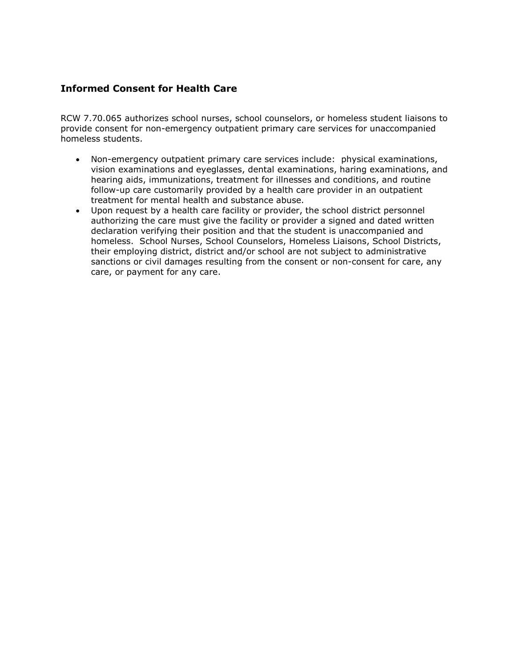# Informed Consent for Health Care

RCW 7.70.065 authorizes school nurses, school counselors, or homeless student liaisons to provide consent for non-emergency outpatient primary care services for unaccompanied homeless students.

- Non-emergency outpatient primary care services include: physical examinations, vision examinations and eyeglasses, dental examinations, haring examinations, and hearing aids, immunizations, treatment for illnesses and conditions, and routine follow-up care customarily provided by a health care provider in an outpatient treatment for mental health and substance abuse.
- Upon request by a health care facility or provider, the school district personnel authorizing the care must give the facility or provider a signed and dated written declaration verifying their position and that the student is unaccompanied and homeless. School Nurses, School Counselors, Homeless Liaisons, School Districts, their employing district, district and/or school are not subject to administrative sanctions or civil damages resulting from the consent or non-consent for care, any care, or payment for any care.